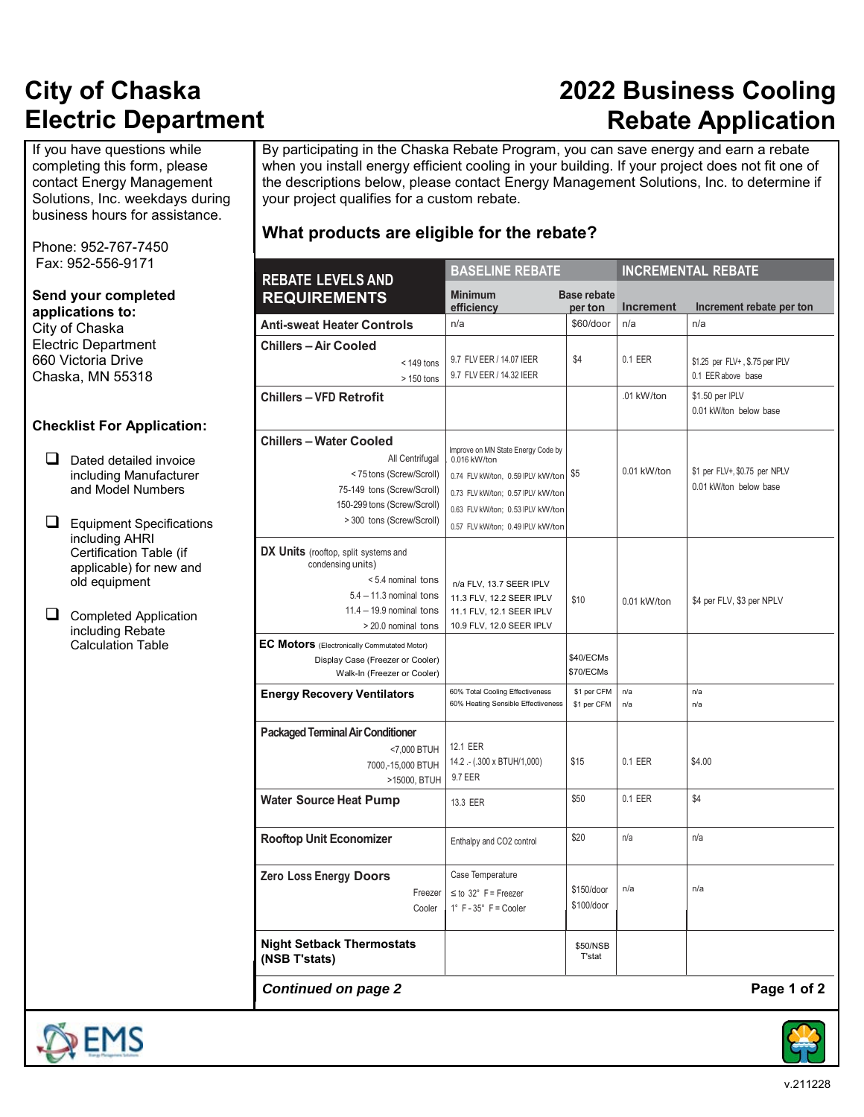### **2022 Business Cooling Rebate Application**

If you have questions while completing this form, please contact Energy Management Solutions, Inc. weekdays during business hours for assistance.

Phone: 952-767-7450 Fax: 952-556-9171

**Send your completed applications to:** City of Chaska Electric Department 660 Victoria Drive Chaska, MN 55318

#### **Checklist For Application:**

- $\Box$  Dated detailed invoice including Manufacturer and Model Numbers
- **E** Equipment Specifications including AHRI Certification Table (if applicable) for new and old equipment
- Completed Application including Rebate Calculation Table

By participating in the Chaska Rebate Program, you can save energy and earn a rebate when you install energy efficient cooling in your building. If your project does not fit one of the descriptions below, please contact Energy Management Solutions, Inc. to determine if your project qualifies for a custom rebate.

### **What products are eligible for the rebate?**

| <b>REBATE LEVELS AND</b>                                                                                                                                               | <b>BASELINE REBATE</b>                                                                                                                                                                                 |                               |                  | <b>INCREMENTAL REBATE</b>                               |
|------------------------------------------------------------------------------------------------------------------------------------------------------------------------|--------------------------------------------------------------------------------------------------------------------------------------------------------------------------------------------------------|-------------------------------|------------------|---------------------------------------------------------|
| <b>REQUIREMENTS</b>                                                                                                                                                    | <b>Minimum</b><br>efficiency                                                                                                                                                                           | <b>Base rebate</b><br>per ton | <b>Increment</b> | Increment rebate per ton                                |
| <b>Anti-sweat Heater Controls</b>                                                                                                                                      | n/a                                                                                                                                                                                                    | \$60/door                     | n/a              | n/a                                                     |
| <b>Chillers - Air Cooled</b><br>$<$ 149 tons<br>$>150$ tons                                                                                                            | 9.7 FLV EER / 14.07 IEER<br>9.7 FLV EER / 14.32 IEER                                                                                                                                                   | \$4                           | 0.1 EER          | \$1.25 per FLV+, \$.75 per IPLV<br>0.1 EER above base   |
| <b>Chillers - VFD Retrofit</b>                                                                                                                                         |                                                                                                                                                                                                        |                               | .01 kW/ton       | \$1.50 per IPLV<br>0.01 kW/ton below base               |
| <b>Chillers - Water Cooled</b><br>All Centrifugal<br><75 tons (Screw/Scroll)<br>75-149 tons (Screw/Scroll)<br>150-299 tons (Screw/Scroll)<br>> 300 tons (Screw/Scroll) | Improve on MN State Energy Code by<br>0.016 kW/ton<br>0.74 FLV kW/ton, 0.59 IPLV kW/ton<br>0.73 FLV kW/ton; 0.57 IPLV kW/ton<br>0.63 FLV kW/ton; 0.53 IPLV kW/ton<br>0.57 FLV kW/ton; 0.49 IPLV kW/ton | \$5                           | 0.01 kW/ton      | \$1 per FLV+, \$0.75 per NPLV<br>0.01 kW/ton below base |
| DX Units (rooftop, split systems and<br>condensing units)<br>< 5.4 nominal tons<br>$5.4 - 11.3$ nominal tons<br>$11.4 - 19.9$ nominal tons<br>> 20.0 nominal tons      | n/a FLV, 13.7 SEER IPLV<br>11.3 FLV, 12.2 SEER IPLV<br>11.1 FLV, 12.1 SEER IPLV<br>10.9 FLV, 12.0 SEER IPLV                                                                                            | \$10                          | 0.01 kW/ton      | \$4 per FLV, \$3 per NPLV                               |
| EC Motors (Electronically Commutated Motor)<br>Display Case (Freezer or Cooler)<br>Walk-In (Freezer or Cooler)                                                         |                                                                                                                                                                                                        | \$40/ECMs<br>\$70/ECMs        |                  |                                                         |
| <b>Energy Recovery Ventilators</b>                                                                                                                                     | 60% Total Cooling Effectiveness<br>60% Heating Sensible Effectiveness                                                                                                                                  | \$1 per CFM<br>\$1 per CFM    | n/a<br>n/a       | n/a<br>n/a                                              |
| <b>Packaged Terminal Air Conditioner</b><br><7,000 BTUH<br>7000,-15,000 BTUH<br>>15000, BTUH                                                                           | 12.1 EER<br>14.2 .- (.300 x BTUH/1,000)<br>9.7 EER                                                                                                                                                     | \$15                          | 0.1 EER          | \$4.00                                                  |
| <b>Water Source Heat Pump</b>                                                                                                                                          | 13.3 EER                                                                                                                                                                                               | \$50                          | $0.1$ EER        | \$4                                                     |
| <b>Rooftop Unit Economizer</b>                                                                                                                                         | Enthalpy and CO2 control                                                                                                                                                                               | \$20                          | n/a              | n/a                                                     |
| <b>Zero Loss Energy Doors</b><br>Freezer<br>Cooler                                                                                                                     | Case Temperature<br>$\leq$ to 32° F = Freezer<br>$1^\circ$ F - $35^\circ$ F = Cooler                                                                                                                   | \$150/door<br>\$100/door      | n/a              | n/a                                                     |
| <b>Night Setback Thermostats</b><br>(NSB T'stats)                                                                                                                      |                                                                                                                                                                                                        | \$50/NSB<br><b>T</b> 'stat    |                  |                                                         |

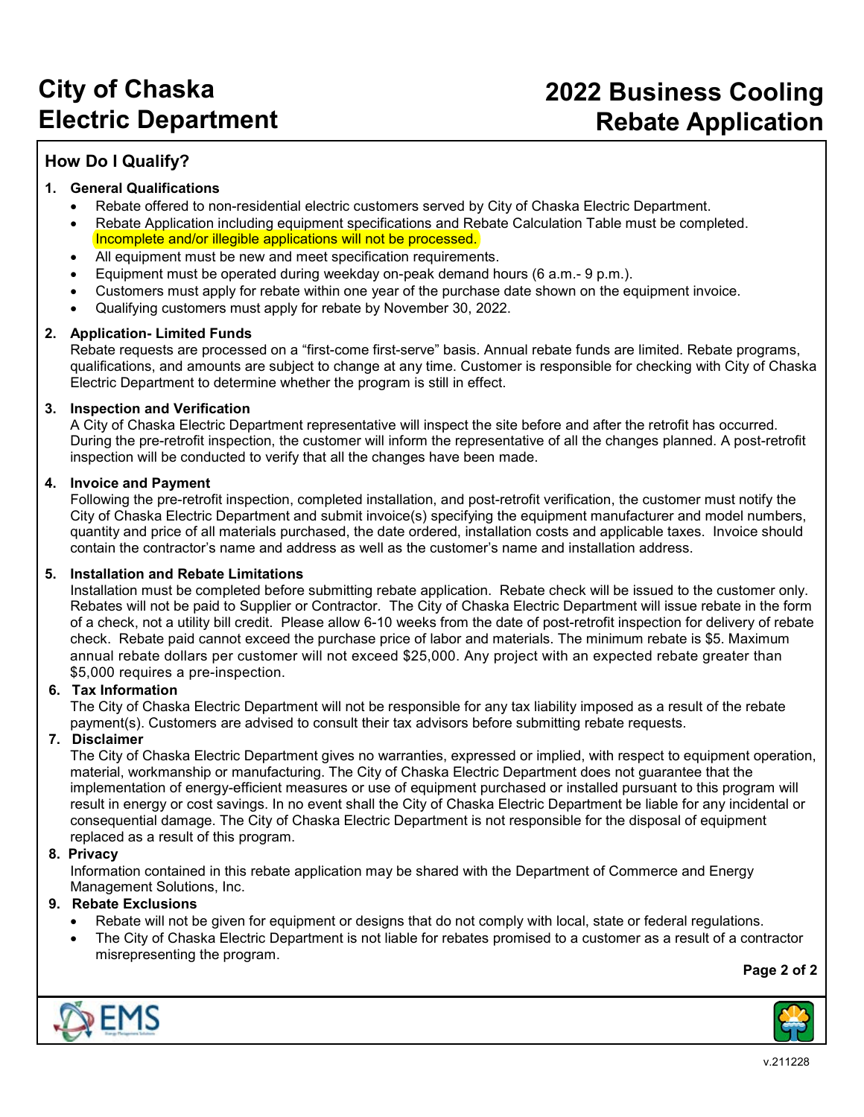### **How Do I Qualify?**

#### **1. General Qualifications**

- Rebate offered to non-residential electric customers served by City of Chaska Electric Department.
- Rebate Application including equipment specifications and Rebate Calculation Table must be completed. Incomplete and/or illegible applications will not be processed.
- All equipment must be new and meet specification requirements.
- Equipment must be operated during weekday on-peak demand hours (6 a.m.- 9 p.m.).
- Customers must apply for rebate within one year of the purchase date shown on the equipment invoice.
- Qualifying customers must apply for rebate by November 30, 2022.

#### **2. Application- Limited Funds**

Rebate requests are processed on a "first-come first-serve" basis. Annual rebate funds are limited. Rebate programs, qualifications, and amounts are subject to change at any time. Customer is responsible for checking with City of Chaska Electric Department to determine whether the program is still in effect.

#### **3. Inspection and Verification**

A City of Chaska Electric Department representative will inspect the site before and after the retrofit has occurred. During the pre-retrofit inspection, the customer will inform the representative of all the changes planned. A post-retrofit inspection will be conducted to verify that all the changes have been made.

#### **4. Invoice and Payment**

Following the pre-retrofit inspection, completed installation, and post-retrofit verification, the customer must notify the City of Chaska Electric Department and submit invoice(s) specifying the equipment manufacturer and model numbers, quantity and price of all materials purchased, the date ordered, installation costs and applicable taxes. Invoice should contain the contractor's name and address as well as the customer's name and installation address.

#### **5. Installation and Rebate Limitations**

Installation must be completed before submitting rebate application. Rebate check will be issued to the customer only. Rebates will not be paid to Supplier or Contractor. The City of Chaska Electric Department will issue rebate in the form of a check, not a utility bill credit. Please allow 6-10 weeks from the date of post-retrofit inspection for delivery of rebate check. Rebate paid cannot exceed the purchase price of labor and materials. The minimum rebate is \$5. Maximum annual rebate dollars per customer will not exceed \$25,000. Any project with an expected rebate greater than \$5,000 requires a pre-inspection.

#### **6. Tax Information**

The City of Chaska Electric Department will not be responsible for any tax liability imposed as a result of the rebate payment(s). Customers are advised to consult their tax advisors before submitting rebate requests.

#### **7. Disclaimer**

The City of Chaska Electric Department gives no warranties, expressed or implied, with respect to equipment operation, material, workmanship or manufacturing. The City of Chaska Electric Department does not guarantee that the implementation of energy-efficient measures or use of equipment purchased or installed pursuant to this program will result in energy or cost savings. In no event shall the City of Chaska Electric Department be liable for any incidental or consequential damage. The City of Chaska Electric Department is not responsible for the disposal of equipment replaced as a result of this program.

#### **8. Privacy**

Information contained in this rebate application may be shared with the Department of Commerce and Energy Management Solutions, Inc.

#### **9. Rebate Exclusions**

- Rebate will not be given for equipment or designs that do not comply with local, state or federal regulations.
- The City of Chaska Electric Department is not liable for rebates promised to a customer as a result of a contractor misrepresenting the program.

**Page 2 of 2**



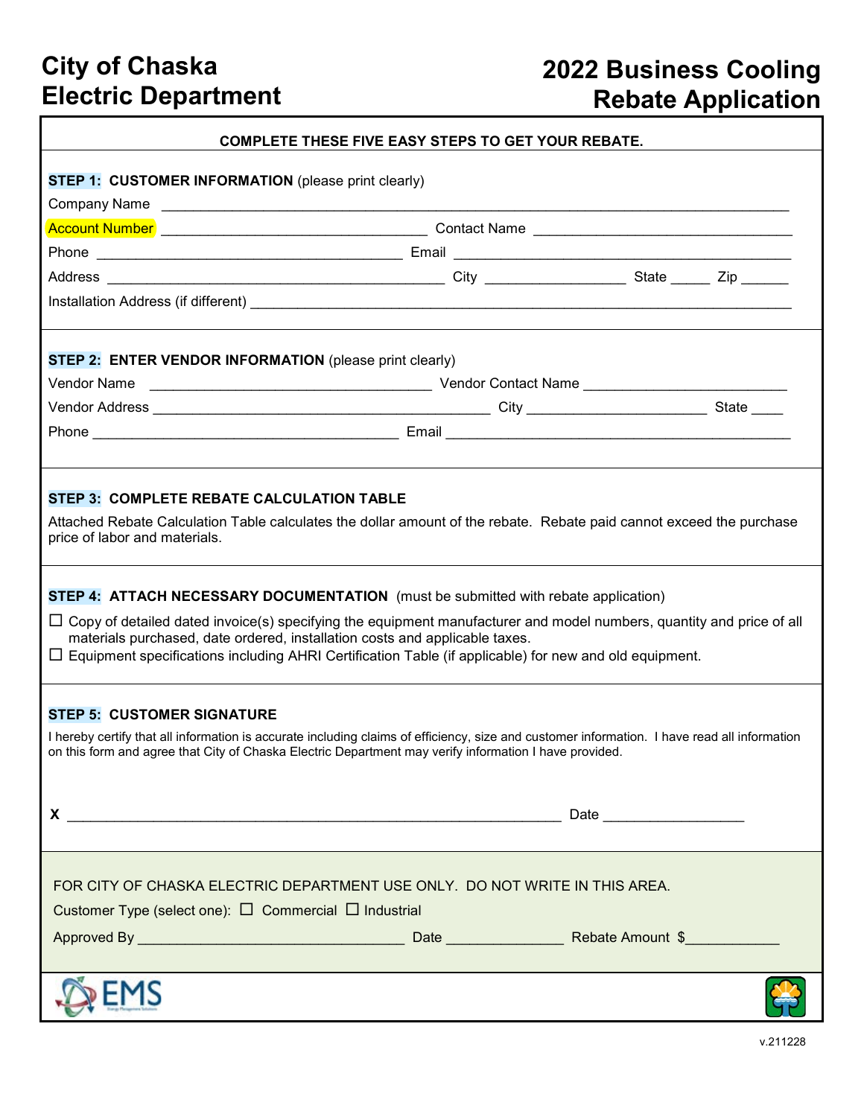# **2022 Business Cooling Rebate Application**

|                                                                                                                                                                                                                                                                                                                                                                                                                                                                                                                                                                                   | <b>COMPLETE THESE FIVE EASY STEPS TO GET YOUR REBATE.</b> |  |
|-----------------------------------------------------------------------------------------------------------------------------------------------------------------------------------------------------------------------------------------------------------------------------------------------------------------------------------------------------------------------------------------------------------------------------------------------------------------------------------------------------------------------------------------------------------------------------------|-----------------------------------------------------------|--|
|                                                                                                                                                                                                                                                                                                                                                                                                                                                                                                                                                                                   |                                                           |  |
| <b>STEP 1: CUSTOMER INFORMATION (please print clearly)</b>                                                                                                                                                                                                                                                                                                                                                                                                                                                                                                                        |                                                           |  |
|                                                                                                                                                                                                                                                                                                                                                                                                                                                                                                                                                                                   |                                                           |  |
|                                                                                                                                                                                                                                                                                                                                                                                                                                                                                                                                                                                   |                                                           |  |
|                                                                                                                                                                                                                                                                                                                                                                                                                                                                                                                                                                                   |                                                           |  |
|                                                                                                                                                                                                                                                                                                                                                                                                                                                                                                                                                                                   |                                                           |  |
| <b>STEP 2: ENTER VENDOR INFORMATION</b> (please print clearly)                                                                                                                                                                                                                                                                                                                                                                                                                                                                                                                    |                                                           |  |
|                                                                                                                                                                                                                                                                                                                                                                                                                                                                                                                                                                                   |                                                           |  |
|                                                                                                                                                                                                                                                                                                                                                                                                                                                                                                                                                                                   |                                                           |  |
| Attached Rebate Calculation Table calculates the dollar amount of the rebate. Rebate paid cannot exceed the purchase<br>price of labor and materials.<br><b>STEP 4: ATTACH NECESSARY DOCUMENTATION</b> (must be submitted with rebate application)<br>$\Box$ Copy of detailed dated invoice(s) specifying the equipment manufacturer and model numbers, quantity and price of all<br>materials purchased, date ordered, installation costs and applicable taxes.<br>$\Box$ Equipment specifications including AHRI Certification Table (if applicable) for new and old equipment. |                                                           |  |
| <b>STEP 5: CUSTOMER SIGNATURE</b><br>I hereby certify that all information is accurate including claims of efficiency, size and customer information. I have read all information<br>on this form and agree that City of Chaska Electric Department may verify information I have provided.                                                                                                                                                                                                                                                                                       |                                                           |  |
|                                                                                                                                                                                                                                                                                                                                                                                                                                                                                                                                                                                   |                                                           |  |
| FOR CITY OF CHASKA ELECTRIC DEPARTMENT USE ONLY. DO NOT WRITE IN THIS AREA.<br>Customer Type (select one): $\Box$ Commercial $\Box$ Industrial                                                                                                                                                                                                                                                                                                                                                                                                                                    |                                                           |  |
|                                                                                                                                                                                                                                                                                                                                                                                                                                                                                                                                                                                   |                                                           |  |
|                                                                                                                                                                                                                                                                                                                                                                                                                                                                                                                                                                                   |                                                           |  |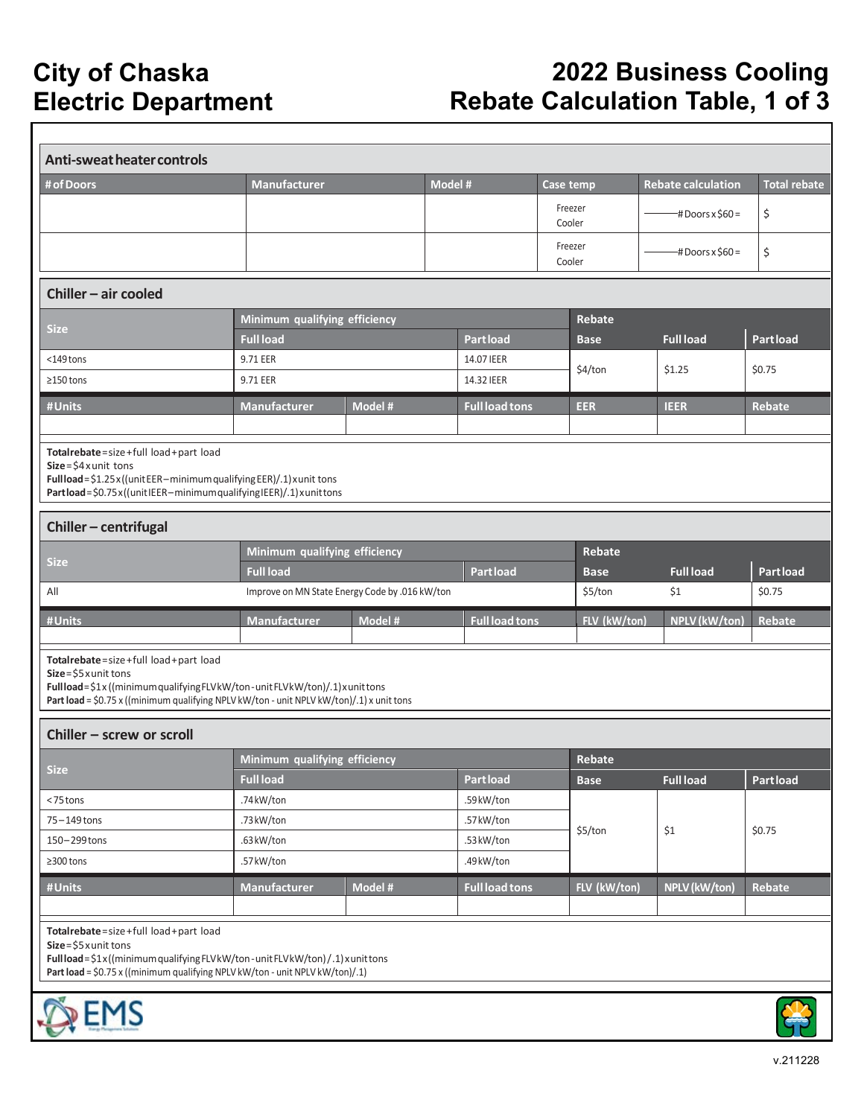# **2022 Business Cooling Rebate Calculation Table, 1 of 3**

| Anti-sweat heater controls                                                                                                                                                                                                                  |                                                |         |         |                       |           |                   |                           |                     |  |
|---------------------------------------------------------------------------------------------------------------------------------------------------------------------------------------------------------------------------------------------|------------------------------------------------|---------|---------|-----------------------|-----------|-------------------|---------------------------|---------------------|--|
| # of Doors                                                                                                                                                                                                                                  | <b>Manufacturer</b>                            |         | Model # |                       | Case temp |                   | <b>Rebate calculation</b> | <b>Total rebate</b> |  |
|                                                                                                                                                                                                                                             |                                                |         |         |                       |           | Freezer<br>Cooler | $-$ #Doors x \$60 =       | \$                  |  |
|                                                                                                                                                                                                                                             |                                                |         |         |                       |           | Freezer<br>Cooler | -# Doors x \$60 =         | \$                  |  |
| Chiller - air cooled                                                                                                                                                                                                                        |                                                |         |         |                       |           |                   |                           |                     |  |
| <b>Size</b>                                                                                                                                                                                                                                 | Minimum qualifying efficiency                  |         |         |                       |           | Rebate            |                           |                     |  |
|                                                                                                                                                                                                                                             | <b>Full load</b>                               |         |         | <b>Partload</b>       |           | <b>Base</b>       | <b>Full load</b>          | <b>Part load</b>    |  |
| $<$ 149 $t$ ons                                                                                                                                                                                                                             | 9.71 EER                                       |         |         | 14.07 IEER            |           | \$4/ton           | \$1.25                    | \$0.75              |  |
| $\geq$ 150 tons                                                                                                                                                                                                                             | 9.71 EER                                       |         |         | 14.32 IEER            |           |                   |                           |                     |  |
| #Units                                                                                                                                                                                                                                      | <b>Manufacturer</b>                            | Model # |         | <b>Full load tons</b> |           | <b>EER</b>        | <b>IEER</b>               | <b>Rebate</b>       |  |
|                                                                                                                                                                                                                                             |                                                |         |         |                       |           |                   |                           |                     |  |
| Totalrebate=size+full load+part load<br>$Size = $4$ x unit tons<br>Fullload=\$1.25x((unitEER-minimum qualifying EER)/.1) xunit tons<br>Partload=\$0.75x((unitIEER-minimumqualifyingIEER)/.1)xunittons                                       |                                                |         |         |                       |           |                   |                           |                     |  |
| Chiller - centrifugal                                                                                                                                                                                                                       |                                                |         |         |                       |           |                   |                           |                     |  |
| <b>Size</b>                                                                                                                                                                                                                                 | Minimum qualifying efficiency                  |         |         |                       |           | Rebate            |                           |                     |  |
|                                                                                                                                                                                                                                             | <b>Full load</b>                               |         |         | <b>Part load</b>      |           | <b>Base</b>       | <b>Full load</b>          | <b>Part load</b>    |  |
| All                                                                                                                                                                                                                                         | Improve on MN State Energy Code by .016 kW/ton |         |         |                       |           | \$5/ton           | \$1                       | \$0.75              |  |
| #Units                                                                                                                                                                                                                                      | <b>Manufacturer</b>                            | Model # |         | <b>Full load tons</b> |           | FLV (kW/ton)      | NPLV (kW/ton)             | <b>Rebate</b>       |  |
| Totalrebate=size+full load+part load<br>$Size = $5$ x unit tons<br>Fullload=\$1x ((minimum qualifying FLVkW/ton-unit FLVkW/ton)/.1) xunit tons<br>Part load = \$0.75 x ((minimum qualifying NPLV kW/ton - unit NPLV kW/ton)/.1) x unit tons |                                                |         |         |                       |           |                   |                           |                     |  |
| Chiller - screw or scroll                                                                                                                                                                                                                   |                                                |         |         |                       |           |                   |                           |                     |  |
|                                                                                                                                                                                                                                             | Minimum qualifying efficiency                  |         |         |                       |           | Rebate            |                           |                     |  |
| <b>Size</b>                                                                                                                                                                                                                                 | <b>Full load</b>                               |         |         | <b>Partload</b>       |           | <b>Base</b>       | <b>Full load</b>          | <b>Part load</b>    |  |
| <75 tons                                                                                                                                                                                                                                    | .74kW/ton                                      |         |         | .59 kW/ton            |           |                   |                           |                     |  |
| 75-149 tons                                                                                                                                                                                                                                 | .73kW/ton                                      |         |         | .57kW/ton             |           | \$5/ton           | \$1                       | \$0.75              |  |
| 150-299 tons                                                                                                                                                                                                                                | .63 kW/ton                                     |         |         | .53 kW/ton            |           |                   |                           |                     |  |
| $\geq$ 300 tons                                                                                                                                                                                                                             | .57kW/ton                                      |         |         | .49 kW/ton            |           |                   |                           |                     |  |
| #Units                                                                                                                                                                                                                                      | Manufacturer                                   | Model # |         | <b>Full load tons</b> |           | FLV (kW/ton)      | NPLV (kW/ton)             | Rebate              |  |
|                                                                                                                                                                                                                                             |                                                |         |         |                       |           |                   |                           |                     |  |
| Totalrebate=size+full load+part load<br>$Size = $5$ x unit tons<br>Full load = \$1x((minimum qualifying FLVkW/ton-unit FLVkW/ton)/.1) xunit tons<br>Part load = \$0.75 x ((minimum qualifying NPLV kW/ton - unit NPLV kW/ton)/.1)           |                                                |         |         |                       |           |                   |                           |                     |  |
| EMS                                                                                                                                                                                                                                         |                                                |         |         |                       |           |                   |                           |                     |  |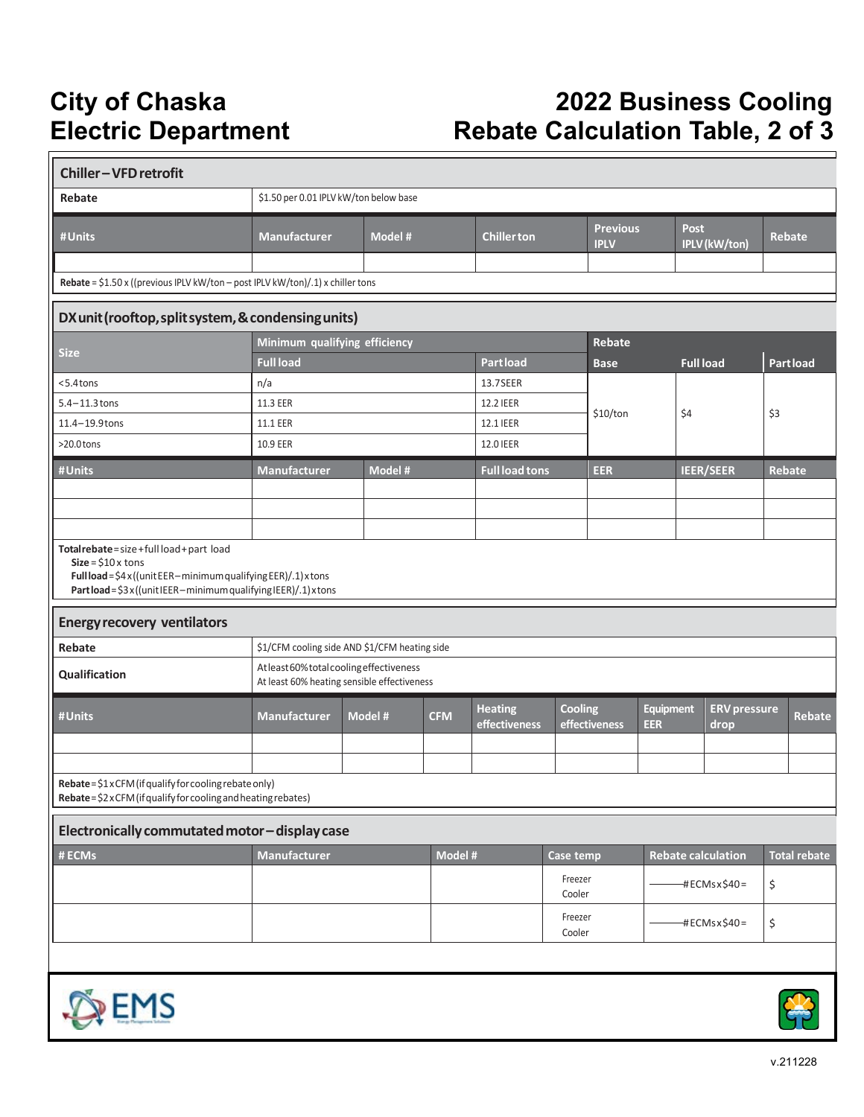# **2022 Business Cooling Rebate Calculation Table, 2 of 3**

| <b>Chiller-VFD retrofit</b>                                                                                                                                                                     |                                                                                        |         |            |                                                      |                   |               |                         |                      |                             |               |                     |
|-------------------------------------------------------------------------------------------------------------------------------------------------------------------------------------------------|----------------------------------------------------------------------------------------|---------|------------|------------------------------------------------------|-------------------|---------------|-------------------------|----------------------|-----------------------------|---------------|---------------------|
| Rebate                                                                                                                                                                                          | \$1.50 per 0.01 IPLV kW/ton below base                                                 |         |            |                                                      |                   |               |                         |                      |                             |               |                     |
| #Units                                                                                                                                                                                          | <b>Manufacturer</b>                                                                    | Model # |            | <b>Previous</b><br><b>Chiller ton</b><br><b>IPLV</b> |                   |               | <b>Post</b>             | <b>IPLV</b> (kW/ton) | Rebate                      |               |                     |
|                                                                                                                                                                                                 |                                                                                        |         |            |                                                      |                   |               |                         |                      |                             |               |                     |
| Rebate = $$1.50 \times ($ (previous IPLV kW/ton - post IPLV kW/ton)/.1) x chiller tons                                                                                                          |                                                                                        |         |            |                                                      |                   |               |                         |                      |                             |               |                     |
| DX unit (rooftop, split system, & condensing units)                                                                                                                                             |                                                                                        |         |            |                                                      |                   |               |                         |                      |                             |               |                     |
| <b>Size</b>                                                                                                                                                                                     | Minimum qualifying efficiency                                                          |         |            |                                                      |                   | Rebate        |                         |                      |                             |               |                     |
|                                                                                                                                                                                                 | <b>Full load</b>                                                                       |         |            | <b>Partload</b>                                      |                   | <b>Base</b>   |                         | <b>Full load</b>     |                             |               | Partload            |
| $5.4$ tons                                                                                                                                                                                      | n/a                                                                                    |         |            | 13.7SEER                                             |                   |               |                         |                      |                             |               |                     |
| $5.4 - 11.3$ tons                                                                                                                                                                               | 11.3 EER                                                                               |         |            | 12.2 IEER                                            |                   | \$10/ton      |                         | \$4                  |                             | \$3           |                     |
| 11.4-19.9 tons                                                                                                                                                                                  | 11.1 EER                                                                               |         |            | 12.1 IEER                                            |                   |               |                         |                      |                             |               |                     |
| $>20.0$ tons                                                                                                                                                                                    | 10.9 EER                                                                               |         |            | 12.0 IEER                                            |                   |               |                         |                      |                             |               |                     |
| #Units                                                                                                                                                                                          | <b>Manufacturer</b>                                                                    | Model # |            | <b>Full load tons</b>                                |                   | <b>EER</b>    |                         | <b>IEER/SEER</b>     |                             | <b>Rebate</b> |                     |
|                                                                                                                                                                                                 |                                                                                        |         |            |                                                      |                   |               |                         |                      |                             |               |                     |
|                                                                                                                                                                                                 |                                                                                        |         |            |                                                      |                   |               |                         |                      |                             |               |                     |
|                                                                                                                                                                                                 |                                                                                        |         |            |                                                      |                   |               |                         |                      |                             |               |                     |
| Totalrebate=size+fullload+part load<br>$Size = $10 \times tons$<br>Full load = $$4x$ ((unit EER-minimum qualifying EER)/.1) x tons<br>Partload=\$3x((unitIEER-minimum qualifying IEER)/.1)xtons |                                                                                        |         |            |                                                      |                   |               |                         |                      |                             |               |                     |
| <b>Energy recovery ventilators</b>                                                                                                                                                              |                                                                                        |         |            |                                                      |                   |               |                         |                      |                             |               |                     |
| Rebate                                                                                                                                                                                          | \$1/CFM cooling side AND \$1/CFM heating side                                          |         |            |                                                      |                   |               |                         |                      |                             |               |                     |
| Qualification                                                                                                                                                                                   | Atleast 60% total cooling effectiveness<br>At least 60% heating sensible effectiveness |         |            |                                                      |                   |               |                         |                      |                             |               |                     |
| #Units                                                                                                                                                                                          | <b>Manufacturer</b>                                                                    | Model # | <b>CFM</b> | <b>Heating</b><br>effectiveness                      | <b>Cooling</b>    | effectiveness | Equipment<br><b>EER</b> |                      | <b>ERV</b> pressure<br>drop |               | <b>Rebate</b>       |
|                                                                                                                                                                                                 |                                                                                        |         |            |                                                      |                   |               |                         |                      |                             |               |                     |
|                                                                                                                                                                                                 |                                                                                        |         |            |                                                      |                   |               |                         |                      |                             |               |                     |
| Rebate = \$1 x CFM (if qualify for cooling rebate only)<br>Rebate = \$2 x CFM (if qualify for cooling and heating rebates)                                                                      |                                                                                        |         |            |                                                      |                   |               |                         |                      |                             |               |                     |
| Electronically commutated motor-display case                                                                                                                                                    |                                                                                        |         |            |                                                      |                   |               |                         |                      |                             |               |                     |
| # ECMs                                                                                                                                                                                          | <b>Manufacturer</b>                                                                    |         | Model #    |                                                      | Case temp         |               |                         |                      | <b>Rebate calculation</b>   |               | <b>Total rebate</b> |
|                                                                                                                                                                                                 |                                                                                        |         |            |                                                      | Freezer<br>Cooler |               | $#ECMs \times $40 =$    |                      |                             | \$            |                     |
|                                                                                                                                                                                                 |                                                                                        |         |            |                                                      | Freezer<br>Cooler |               |                         |                      | -#ECMsx\$40=                | \$            |                     |
|                                                                                                                                                                                                 |                                                                                        |         |            |                                                      |                   |               |                         |                      |                             |               |                     |
| <b>EMS</b>                                                                                                                                                                                      |                                                                                        |         |            |                                                      |                   |               |                         |                      |                             |               |                     |